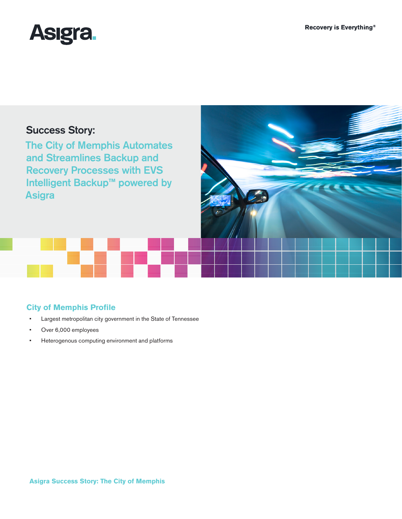

# Success Story:

The City of Memphis Automates and Streamlines Backup and Recovery Processes with EVS **Intelligent Backup<sup>™</sup> powered by** Asigra

# **City of Memphis Profile**

- • Largest metropolitan city government in the State of Tennessee
- • Over 6,000 employees
- • Heterogenous computing environment and platforms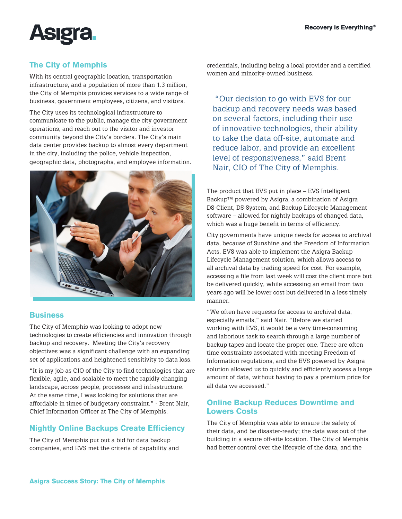

# **The City of Memphis**

With its central geographic location, transportation infrastructure, and a population of more than 1.3 million, the City of Memphis provides services to a wide range of business, government employees, citizens, and visitors.

The City uses its technological infrastructure to communicate to the public, manage the city government operations, and reach out to the visitor and investor community beyond the City's borders. The City's main data center provides backup to almost every department in the city, including the police, vehicle inspection, geographic data, photographs, and employee information.



#### **Business**

The City of Memphis was looking to adopt new technologies to create efficiencies and innovation through backup and recovery. Meeting the City's recovery objectives was a significant challenge with an expanding set of applications and heightened sensitivity to data loss.

"It is my job as CIO of the City to find technologies that are flexible, agile, and scalable to meet the rapidly changing landscape, across people, processes and infrastructure. At the same time, I was looking for solutions that are affordable in times of budgetary constraint." - Brent Nair, Chief Information Officer at The City of Memphis.

# **Nightly Online Backups Create Efficiency**

The City of Memphis put out a bid for data backup companies, and EVS met the criteria of capability and credentials, including being a local provider and a certified women and minority-owned business.

 "Our decision to go with EVS for our backup and recovery needs was based on several factors, including their use of innovative technologies, their ability to take the data off-site, automate and reduce labor, and provide an excellent level of responsiveness," said Brent Nair, CIO of The City of Memphis.

The product that EVS put in place – EVS Intelligent Backup™ powered by Asigra, a combination of Asigra DS-Client, DS-System, and Backup Lifecycle Management software – allowed for nightly backups of changed data, which was a huge benefit in terms of efficiency.

City governments have unique needs for access to archival data, because of Sunshine and the Freedom of Information Acts. EVS was able to implement the Asigra Backup Lifecycle Management solution, which allows access to all archival data by trading speed for cost. For example, accessing a file from last week will cost the client more but be delivered quickly, while accessing an email from two years ago will be lower cost but delivered in a less timely manner.

"We often have requests for access to archival data, especially emails," said Nair. "Before we started working with EVS, it would be a very time-consuming and laborious task to search through a large number of backup tapes and locate the proper one. There are often time constraints associated with meeting Freedom of Information regulations, and the EVS powered by Asigra solution allowed us to quickly and efficiently access a large amount of data, without having to pay a premium price for all data we accessed."

### **Online Backup Reduces Downtime and Lowers Costs**

The City of Memphis was able to ensure the safety of their data, and be disaster-ready; the data was out of the building in a secure off-site location. The City of Memphis had better control over the lifecycle of the data, and the